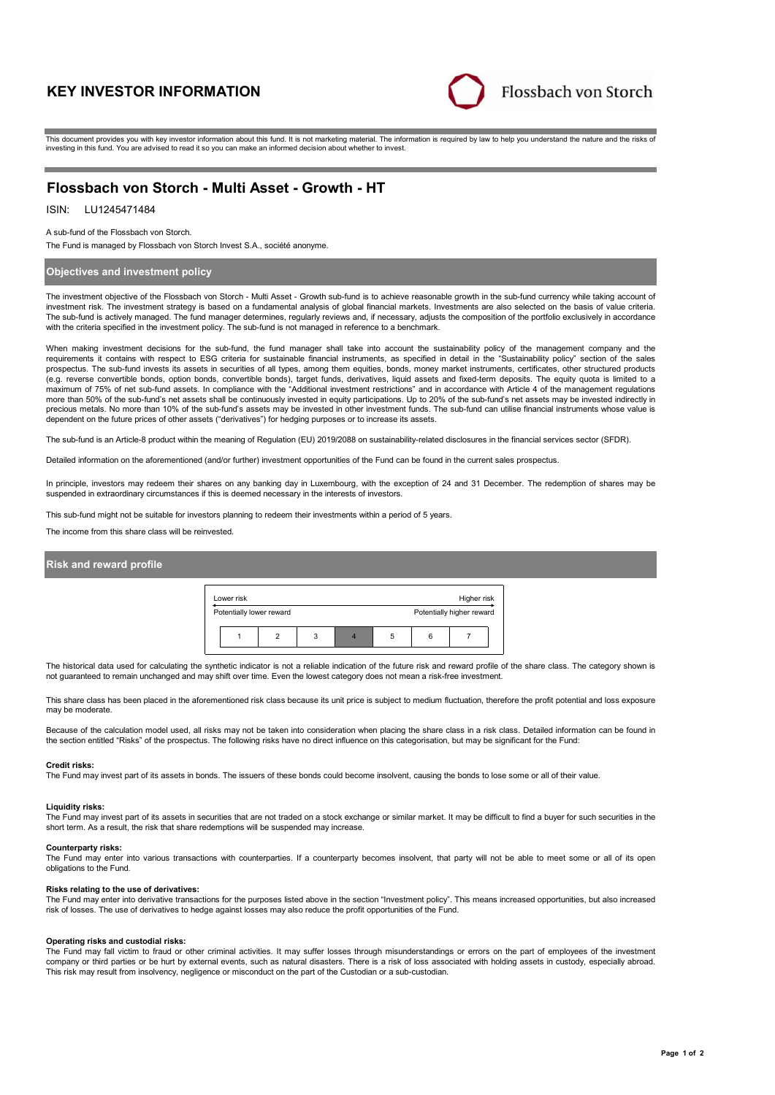# **KEY INVESTOR INFORMATION**



This document provides you with key investor information about this fund. It is not marketing material. The information is required by law to help you understand the nature and the risks of investing in this fund. You are advised to read it so you can make an informed decision about whether to invest.

# **Flossbach von Storch - Multi Asset - Growth - HT**

## ISIN: LU1245471484

#### A sub-fund of the Flossbach von Storch.

The Fund is managed by Flossbach von Storch Invest S.A., société anonyme.

## **Objectives and investment policy**

The investment objective of the Flossbach von Storch - Multi Asset - Growth sub-fund is to achieve reasonable growth in the sub-fund currency while taking account of investment risk. The investment strategy is based on a fundamental analysis of global financial markets. Investments are also selected on the basis of value criteria. The sub-fund is actively managed. The fund manager determines, regularly reviews and, if necessary, adjusts the composition of the portfolio exclusively in accordance with the criteria specified in the investment policy. The sub-fund is not managed in reference to a benchmark.

When making investment decisions for the sub-fund, the fund manager shall take into account the sustainability policy of the management company and the requirements it contains with respect to ESG criteria for sustainable financial instruments, as specified in detail in the "Sustainability policy" section of the sales prospectus. The sub-fund invests its assets in securities of all types, among them equities, bonds, money market instruments, certificates, other structured products (e.g. reverse convertible bonds, option bonds, convertible bonds), target funds, derivatives, liquid assets and fixed-term deposits. The equity quota is limited to a maximum of 75% of net sub-fund assets. In compliance with the "Additional investment restrictions" and in accordance with Article 4 of the management regulations more than 50% of the sub-fund's net assets shall be continuously invested in equity participations. Up to 20% of the sub-fund's net assets may be invested indirectly in precious metals. No more than 10% of the sub-fund's assets may be invested in other investment funds. The sub-fund can utilise financial instruments whose value is dependent on the future prices of other assets ("derivatives") for hedging purposes or to increase its assets.

The sub-fund is an Article-8 product within the meaning of Regulation (EU) 2019/2088 on sustainability-related disclosures in the financial services sector (SFDR).

Detailed information on the aforementioned (and/or further) investment opportunities of the Fund can be found in the current sales prospectus.

In principle, investors may redeem their shares on any banking day in Luxembourg, with the exception of 24 and 31 December. The redemption of shares may be suspended in extraordinary circumstances if this is deemed necessary in the interests of investors.

This sub-fund might not be suitable for investors planning to redeem their investments within a period of 5 years.

The income from this share class will be reinvested.

### **Risk and reward profile**



The historical data used for calculating the synthetic indicator is not a reliable indication of the future risk and reward profile of the share class. The category shown is not guaranteed to remain unchanged and may shift over time. Even the lowest category does not mean a risk-free investment.

This share class has been placed in the aforementioned risk class because its unit price is subject to medium fluctuation, therefore the profit potential and loss exposure may be moderate.

Because of the calculation model used, all risks may not be taken into consideration when placing the share class in a risk class. Detailed information can be found in the section entitled "Risks" of the prospectus. The following risks have no direct influence on this categorisation, but may be significant for the Fund:

#### **Credit risks:**

The Fund may invest part of its assets in bonds. The issuers of these bonds could become insolvent, causing the bonds to lose some or all of their value.

#### **Liquidity risks:**

The Fund may invest part of its assets in securities that are not traded on a stock exchange or similar market. It may be difficult to find a buyer for such securities in the short term. As a result, the risk that share redemptions will be suspended may increase.

#### **Counterparty risks:**

The Fund may enter into various transactions with counterparties. If a counterparty becomes insolvent, that party will not be able to meet some or all of its open obligations to the Fund.

#### **Risks relating to the use of derivatives:**

The Fund may enter into derivative transactions for the purposes listed above in the section "Investment policy". This means increased opportunities, but also increased risk of losses. The use of derivatives to hedge against losses may also reduce the profit opportunities of the Fund.

#### **Operating risks and custodial risks:**

The Fund may fall victim to fraud or other criminal activities. It may suffer losses through misunderstandings or errors on the part of employees of the investment company or third parties or be hurt by external events, such as natural disasters. There is a risk of loss associated with holding assets in custody, especially abroad. This risk may result from insolvency, negligence or misconduct on the part of the Custodian or a sub-custodian.